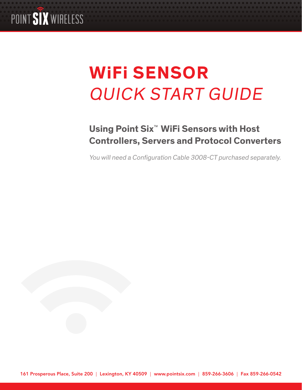

# **WiFi SENSOR** QUICK START GUIDE

# **Using Point Six**™ **WiFi Sensors with Host Controllers, Servers and Protocol Converters**

You will need a Configuration Cable 3008-CT purchased separately.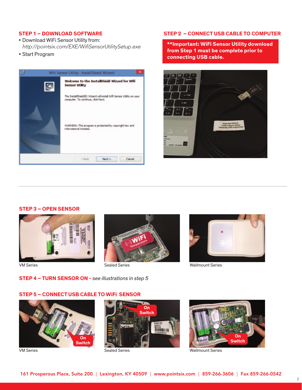# **STEP 1 – DOWNLOAD SOFTWARE**

- • Download WiFi Sensor Utility from: *http://pointsix.com/EXE/WifiSensorUtilitySetup.exe*
- • Start Program



# **STEP 2 – CONNECT USB CABLE TO COMPUTER**

**\*\*Important: WiFi Sensor Utility download from Step 1 must be complete prior to connecting USB cable.** 



#### **STEP 3 – OPEN SENSOR**







VM Series **Sealed Series** Sealed Series **Sealed Series** Wallmount Series

# **STEP 5 – CONNECT USB CABLE TO WiFi SENSOR**

**STEP 4 – TURN SENSOR ON -** see illustrations in step 5







VM Series **Sealed Series** Sealed Series **Sealed Series** Wallmount Series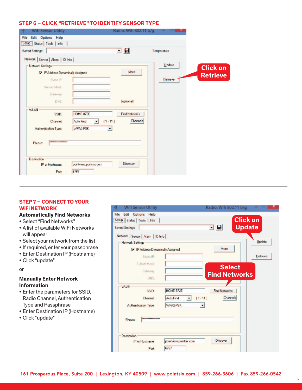#### **STEP 6 – Click "Retrieve" to identify sensor type**

| Setup   Status   Tools   Info<br><b>Saved Settings:</b>       |                              | o<br>회               | Temperature |                 |
|---------------------------------------------------------------|------------------------------|----------------------|-------------|-----------------|
| Network Sensor   Alarm   ID Info  <br><b>Network Settings</b> |                              |                      | Update      |                 |
| P Address Dynamically Assigned                                |                              | More                 |             | <b>Click on</b> |
| Static IP:                                                    |                              |                      | Retrieve    | <b>Retrieve</b> |
| Subnet Mask:                                                  |                              |                      |             |                 |
| Gateway:                                                      |                              |                      |             |                 |
| DNS:                                                          |                              | (optional)           |             |                 |
| <b>WLAN</b>                                                   |                              |                      |             |                 |
| SSID:                                                         | <b>HOME-872E</b>             | <b>Find Networks</b> |             |                 |
| <b>Channel:</b>                                               | $(1 - 11)$<br>Auto Find<br>٠ | Channels             |             |                 |
| Authentication Type:                                          | WPA2-PSK<br>٠                |                      |             |                 |
| <br>Phrase:                                                   |                              |                      |             |                 |
| <b>Destination</b>                                            |                              |                      |             |                 |
| IP or Hostname:                                               | pointview.pointsix.com       | <b>Discover</b>      |             |                 |
| Port                                                          | 6767                         |                      |             |                 |

# **STEP 7 – CONNECT TO YOUR WiFi NETWORK**

# **Automatically Find Networks**

- • Select "Find Networks"
- • A list of available WiFi Networks will appear
- • Select your network from the list
- If required, enter your passphrase
- Enter Destination IP (Hostname)
- • Click "update"

or

### **Manually Enter Network Information**

- Enter the parameters for SSID, Radio Channel, Authentication Type and Passphrase
- Enter Destination IP (Hostname)
- • Click "update"

| Setup   Status   Tools  <br>Info |                                                     | <b>Click on</b>                                   |          |
|----------------------------------|-----------------------------------------------------|---------------------------------------------------|----------|
| <b>Saved Settings:</b>           |                                                     | <b>Update</b><br>$\blacksquare$<br>$\blacksquare$ |          |
| Network Sensor Alarm   ID Info   |                                                     |                                                   |          |
| <b>Network Settings</b>          |                                                     |                                                   | Update   |
| P Address Dynamically Assigned   |                                                     | More                                              |          |
| Static IP                        |                                                     |                                                   | Retrieve |
| Subnet Mask:                     |                                                     | <b>Select</b>                                     |          |
| Gateway:                         |                                                     | <b>Find Networks</b>                              |          |
| DNS:                             |                                                     |                                                   |          |
| <b>WLAN</b>                      |                                                     |                                                   |          |
| SSID:                            | <b>HOME-872E</b>                                    | <b>Find Networks</b>                              |          |
| Channel:                         | $(1 - 11)$<br>Auto Find<br>$\overline{\phantom{a}}$ | Channels                                          |          |
| Authentication Type:             | WPA2-PSK<br>٠                                       |                                                   |          |
| ---------------<br>Phrase:       |                                                     |                                                   |          |
|                                  |                                                     |                                                   |          |

3